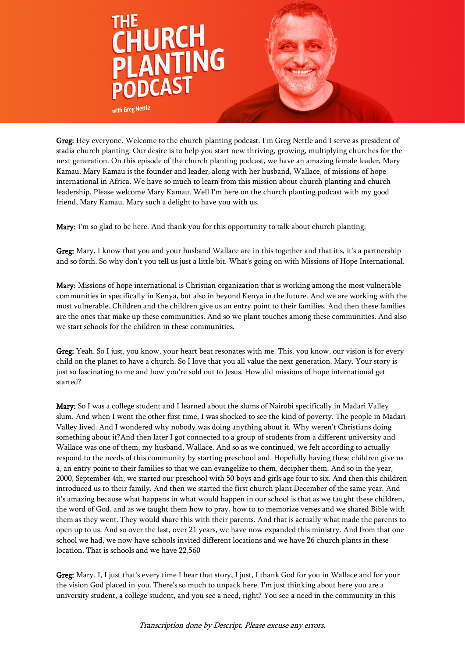

Greg: Hey everyone. Welcome to the church planting podcast. I'm Greg Nettle and I serve as president of stadia church planting. Our desire is to help you start new thriving, growing, multiplying churches for the next generation. On this episode of the church planting podcast, we have an amazing female leader, Mary Kamau. Mary Kamau is the founder and leader, along with her husband, Wallace, of missions of hope international in Africa. We have so much to learn from this mission about church planting and church leadership. Please welcome Mary Kamau. Well I'm here on the church planting podcast with my good friend, Mary Kamau. Mary such a delight to have you with us.

Mary: I'm so glad to be here. And thank you for this opportunity to talk about church planting.

Greg: Mary, I know that you and your husband Wallace are in this together and that it's, it's a partnership and so forth. So why don't you tell us just a little bit. What's going on with Missions of Hope International.

Mary: Missions of hope international is Christian organization that is working among the most vulnerable communities in specifically in Kenya, but also in beyond Kenya in the future. And we are working with the most vulnerable. Children and the children give us an entry point to their families. And then these families are the ones that make up these communities. And so we plant touches among these communities. And also we start schools for the children in these communities.

Greg: Yeah. So I just, you know, your heart beat resonates with me. This, you know, our vision is for every child on the planet to have a church. So I love that you all value the next generation. Mary. Your story is just so fascinating to me and how you're sold out to Jesus. How did missions of hope international get started?

Mary: So I was a college student and I learned about the slums of Nairobi specifically in Madari Valley slum. And when I went the other first time, I was shocked to see the kind of poverty. The people in Madari Valley lived. And I wondered why nobody was doing anything about it. Why weren't Christians doing something about it?And then later I got connected to a group of students from a different university and Wallace was one of them, my husband, Wallace. And so as we continued, we felt according to actually respond to the needs of this community by starting preschool and. Hopefully having these children give us a, an entry point to their families so that we can evangelize to them, decipher them. And so in the year, 2000, September 4th, we started our preschool with 50 boys and girls age four to six. And then this children introduced us to their family. And then we started the first church plant December of the same year. And it's amazing because what happens in what would happen in our school is that as we taught these children, the word of God, and as we taught them how to pray, how to to memorize verses and we shared Bible with them as they went. They would share this with their parents. And that is actually what made the parents to open up to us. And so over the last, over 21 years, we have now expanded this ministry. And from that one school we had, we now have schools invited different locations and we have 26 church plants in these location. That is schools and we have 22,560

Greg: Mary. I, I just that's every time I hear that story, I just, I thank God for you in Wallace and for your the vision God placed in you. There's so much to unpack here. I'm just thinking about here you are a university student, a college student, and you see a need, right? You see a need in the community in this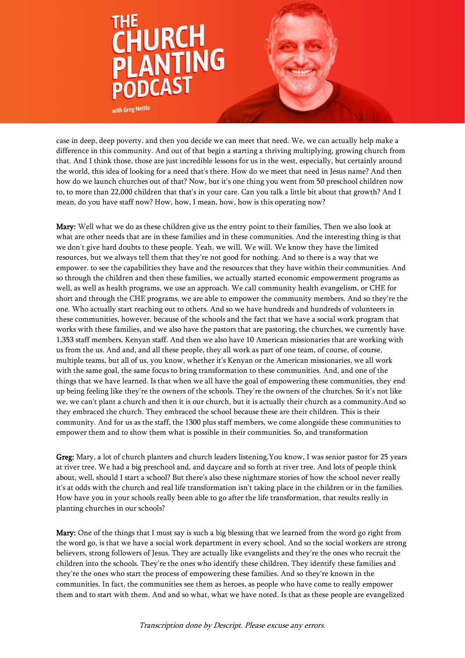

case in deep, deep poverty. and then you decide we can meet that need. We, we can actually help make a difference in this community. And out of that begin a starting a thriving multiplying, growing church from that. And I think those, those are just incredible lessons for us in the west, especially, but certainly around the world, this idea of looking for a need that's there. How do we meet that need in Jesus name? And then how do we launch churches out of that? Now, but it's one thing you went from 50 preschool children now to, to more than 22,000 children that that's in your care. Can you talk a little bit about that growth? And I mean, do you have staff now? How, how, I mean, how, how is this operating now?

Mary: Well what we do as these children give us the entry point to their families, Then we also look at what are other needs that are in these families and in these communities. And the interesting thing is that we don't give hard doubts to these people. Yeah, we will. We will. We know they have the limited resources, but we always tell them that they're not good for nothing. And so there is a way that we empower. to see the capabilities they have and the resources that they have within their communities. And so through the children and then these families, we actually started economic empowerment programs as well, as well as health programs, we use an approach. We call community health evangelism, or CHE for short and through the CHE programs, we are able to empower the community members. And so they're the one. Who actually start reaching out to others. And so we have hundreds and hundreds of volunteers in these communities, however, because of the schools and the fact that we have a social work program that works with these families, and we also have the pastors that are pastoring, the churches, we currently have 1,353 staff members. Kenyan staff. And then we also have 10 American missionaries that are working with us from the us. And and, and all these people, they all work as part of one team, of course, of course, multiple teams, but all of us, you know, whether it's Kenyan or the American missionaries, we all work with the same goal, the same focus to bring transformation to these communities. And, and one of the things that we have learned. Is that when we all have the goal of empowering these communities, they end up being feeling like they're the owners of the schools. They're the owners of the churches. So it's not like we, we can't plant a church and then it is our church, but it is actually their church as a community.And so they embraced the church. They embraced the school because these are their children. This is their community. And for us as the staff, the 1300 plus staff members, we come alongside these communities to empower them and to show them what is possible in their communities. So, and transformation

Greg: Mary, a lot of church planters and church leaders listening. You know, I was senior pastor for 25 years at river tree. We had a big preschool and, and daycare and so forth at river tree. And lots of people think about, well, should I start a school? But there's also these nightmare stories of how the school never really it's at odds with the church and real life transformation isn't taking place in the children or in the families. How have you in your schools really been able to go after the life transformation, that results really in planting churches in our schools?

Mary: One of the things that I must say is such a big blessing that we learned from the word go right from the word go, is that we have a social work department in every school. And so the social workers are strong believers, strong followers of Jesus. They are actually like evangelists and they're the ones who recruit the children into the schools. They're the ones who identify these children. They identify these families and they're the ones who start the process of empowering these families. And so they're known in the communities. In fact, the communities see them as heroes, as people who have come to really empower them and to start with them. And and so what, what we have noted. Is that as these people are evangelized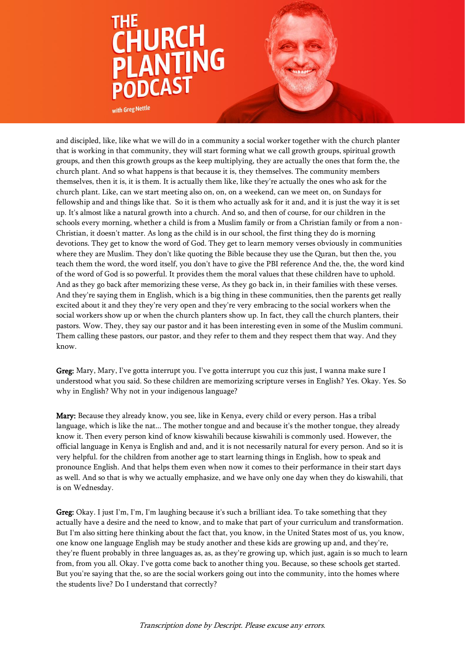

with Greg Nettle

and discipled, like, like what we will do in a community a social worker together with the church planter that is working in that community, they will start forming what we call growth groups, spiritual growth groups, and then this growth groups as the keep multiplying, they are actually the ones that form the, the church plant. And so what happens is that because it is, they themselves. The community members themselves, then it is, it is them. It is actually them like, like they're actually the ones who ask for the church plant. Like, can we start meeting also on, on, on a weekend, can we meet on, on Sundays for fellowship and and things like that. So it is them who actually ask for it and, and it is just the way it is set up. It's almost like a natural growth into a church. And so, and then of course, for our children in the schools every morning, whether a child is from a Muslim family or from a Christian family or from a non-Christian, it doesn't matter. As long as the child is in our school, the first thing they do is morning devotions. They get to know the word of God. They get to learn memory verses obviously in communities where they are Muslim. They don't like quoting the Bible because they use the Quran, but then the, you teach them the word, the word itself, you don't have to give the PBI reference And the, the, the word kind of the word of God is so powerful. It provides them the moral values that these children have to uphold. And as they go back after memorizing these verse, As they go back in, in their families with these verses. And they're saying them in English, which is a big thing in these communities, then the parents get really excited about it and they they're very open and they're very embracing to the social workers when the social workers show up or when the church planters show up. In fact, they call the church planters, their pastors. Wow. They, they say our pastor and it has been interesting even in some of the Muslim communi. Them calling these pastors, our pastor, and they refer to them and they respect them that way. And they know.

Greg: Mary, Mary, I've gotta interrupt you. I've gotta interrupt you cuz this just, I wanna make sure I understood what you said. So these children are memorizing scripture verses in English? Yes. Okay. Yes. So why in English? Why not in your indigenous language?

Mary: Because they already know, you see, like in Kenya, every child or every person. Has a tribal language, which is like the nat... The mother tongue and and because it's the mother tongue, they already know it. Then every person kind of know kiswahili because kiswahili is commonly used. However, the official language in Kenya is English and and, and it is not necessarily natural for every person. And so it is very helpful. for the children from another age to start learning things in English, how to speak and pronounce English. And that helps them even when now it comes to their performance in their start days as well. And so that is why we actually emphasize, and we have only one day when they do kiswahili, that is on Wednesday.

Greg: Okay. I just I'm, I'm, I'm laughing because it's such a brilliant idea. To take something that they actually have a desire and the need to know, and to make that part of your curriculum and transformation. But I'm also sitting here thinking about the fact that, you know, in the United States most of us, you know, one know one language English may be study another and these kids are growing up and, and they're, they're fluent probably in three languages as, as, as they're growing up, which just, again is so much to learn from, from you all. Okay. I've gotta come back to another thing you. Because, so these schools get started. But you're saying that the, so are the social workers going out into the community, into the homes where the students live? Do I understand that correctly?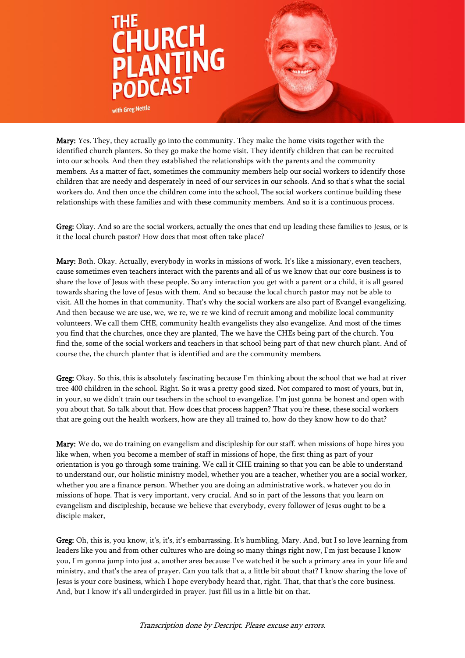

Mary: Yes. They, they actually go into the community. They make the home visits together with the identified church planters. So they go make the home visit. They identify children that can be recruited into our schools. And then they established the relationships with the parents and the community members. As a matter of fact, sometimes the community members help our social workers to identify those children that are needy and desperately in need of our services in our schools. And so that's what the social workers do. And then once the children come into the school, The social workers continue building these relationships with these families and with these community members. And so it is a continuous process.

Greg: Okay. And so are the social workers, actually the ones that end up leading these families to Jesus, or is it the local church pastor? How does that most often take place?

Mary: Both. Okay. Actually, everybody in works in missions of work. It's like a missionary, even teachers, cause sometimes even teachers interact with the parents and all of us we know that our core business is to share the love of Jesus with these people. So any interaction you get with a parent or a child, it is all geared towards sharing the love of Jesus with them. And so because the local church pastor may not be able to visit. All the homes in that community. That's why the social workers are also part of Evangel evangelizing. And then because we are use, we, we re, we re we kind of recruit among and mobilize local community volunteers. We call them CHE, community health evangelists they also evangelize. And most of the times you find that the churches, once they are planted, The we have the CHEs being part of the church. You find the, some of the social workers and teachers in that school being part of that new church plant. And of course the, the church planter that is identified and are the community members.

Greg: Okay. So this, this is absolutely fascinating because I'm thinking about the school that we had at river tree 400 children in the school. Right. So it was a pretty good sized. Not compared to most of yours, but in, in your, so we didn't train our teachers in the school to evangelize. I'm just gonna be honest and open with you about that. So talk about that. How does that process happen? That you're these, these social workers that are going out the health workers, how are they all trained to, how do they know how to do that?

Mary: We do, we do training on evangelism and discipleship for our staff. when missions of hope hires you like when, when you become a member of staff in missions of hope, the first thing as part of your orientation is you go through some training. We call it CHE training so that you can be able to understand to understand our, our holistic ministry model, whether you are a teacher, whether you are a social worker, whether you are a finance person. Whether you are doing an administrative work, whatever you do in missions of hope. That is very important, very crucial. And so in part of the lessons that you learn on evangelism and discipleship, because we believe that everybody, every follower of Jesus ought to be a disciple maker,

Greg: Oh, this is, you know, it's, it's, it's embarrassing. It's humbling, Mary. And, but I so love learning from leaders like you and from other cultures who are doing so many things right now, I'm just because I know you, I'm gonna jump into just a, another area because I've watched it be such a primary area in your life and ministry, and that's the area of prayer. Can you talk that a, a little bit about that? I know sharing the love of Jesus is your core business, which I hope everybody heard that, right. That, that that's the core business. And, but I know it's all undergirded in prayer. Just fill us in a little bit on that.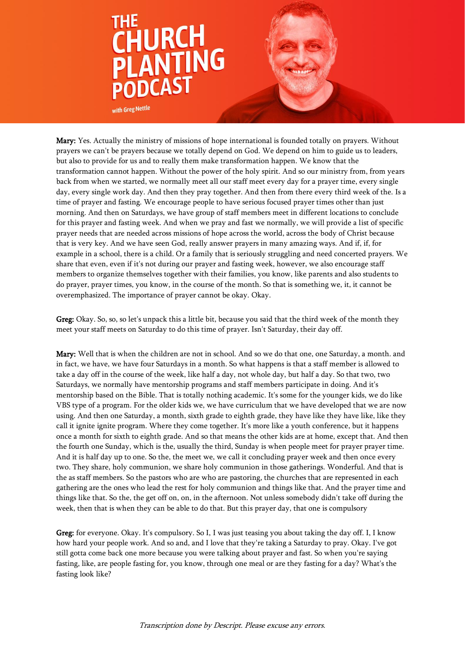

Mary: Yes. Actually the ministry of missions of hope international is founded totally on prayers. Without prayers we can't be prayers because we totally depend on God. We depend on him to guide us to leaders, but also to provide for us and to really them make transformation happen. We know that the transformation cannot happen. Without the power of the holy spirit. And so our ministry from, from years back from when we started, we normally meet all our staff meet every day for a prayer time, every single day, every single work day. And then they pray together. And then from there every third week of the. Is a time of prayer and fasting. We encourage people to have serious focused prayer times other than just morning. And then on Saturdays, we have group of staff members meet in different locations to conclude for this prayer and fasting week. And when we pray and fast we normally, we will provide a list of specific prayer needs that are needed across missions of hope across the world, across the body of Christ because that is very key. And we have seen God, really answer prayers in many amazing ways. And if, if, for example in a school, there is a child. Or a family that is seriously struggling and need concerted prayers. We share that even, even if it's not during our prayer and fasting week, however, we also encourage staff members to organize themselves together with their families, you know, like parents and also students to do prayer, prayer times, you know, in the course of the month. So that is something we, it, it cannot be overemphasized. The importance of prayer cannot be okay. Okay.

Greg: Okay. So, so, so let's unpack this a little bit, because you said that the third week of the month they meet your staff meets on Saturday to do this time of prayer. Isn't Saturday, their day off.

Mary: Well that is when the children are not in school. And so we do that one, one Saturday, a month. and in fact, we have, we have four Saturdays in a month. So what happens is that a staff member is allowed to take a day off in the course of the week, like half a day, not whole day, but half a day. So that two, two Saturdays, we normally have mentorship programs and staff members participate in doing. And it's mentorship based on the Bible. That is totally nothing academic. It's some for the younger kids, we do like VBS type of a program. For the older kids we, we have curriculum that we have developed that we are now using. And then one Saturday, a month, sixth grade to eighth grade, they have like they have like, like they call it ignite ignite program. Where they come together. It's more like a youth conference, but it happens once a month for sixth to eighth grade. And so that means the other kids are at home, except that. And then the fourth one Sunday, which is the, usually the third, Sunday is when people meet for prayer prayer time. And it is half day up to one. So the, the meet we, we call it concluding prayer week and then once every two. They share, holy communion, we share holy communion in those gatherings. Wonderful. And that is the as staff members. So the pastors who are who are pastoring, the churches that are represented in each gathering are the ones who lead the rest for holy communion and things like that. And the prayer time and things like that. So the, the get off on, on, in the afternoon. Not unless somebody didn't take off during the week, then that is when they can be able to do that. But this prayer day, that one is compulsory

Greg: for everyone. Okay. It's compulsory. So I, I was just teasing you about taking the day off. I, I know how hard your people work. And so and, and I love that they're taking a Saturday to pray. Okay. I've got still gotta come back one more because you were talking about prayer and fast. So when you're saying fasting, like, are people fasting for, you know, through one meal or are they fasting for a day? What's the fasting look like?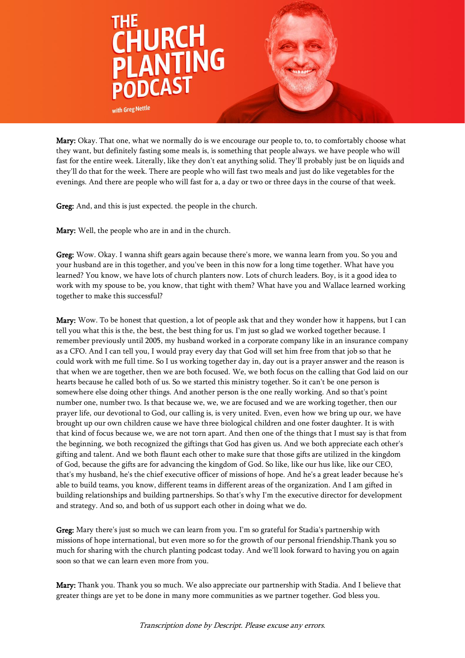

Mary: Okay. That one, what we normally do is we encourage our people to, to, to comfortably choose what they want, but definitely fasting some meals is, is something that people always. we have people who will fast for the entire week. Literally, like they don't eat anything solid. They'll probably just be on liquids and they'll do that for the week. There are people who will fast two meals and just do like vegetables for the evenings. And there are people who will fast for a, a day or two or three days in the course of that week.

Greg: And, and this is just expected. the people in the church.

Mary: Well, the people who are in and in the church.

Greg: Wow. Okay. I wanna shift gears again because there's more, we wanna learn from you. So you and your husband are in this together, and you've been in this now for a long time together. What have you learned? You know, we have lots of church planters now. Lots of church leaders. Boy, is it a good idea to work with my spouse to be, you know, that tight with them? What have you and Wallace learned working together to make this successful?

Mary: Wow. To be honest that question, a lot of people ask that and they wonder how it happens, but I can tell you what this is the, the best, the best thing for us. I'm just so glad we worked together because. I remember previously until 2005, my husband worked in a corporate company like in an insurance company as a CFO. And I can tell you, I would pray every day that God will set him free from that job so that he could work with me full time. So I us working together day in, day out is a prayer answer and the reason is that when we are together, then we are both focused. We, we both focus on the calling that God laid on our hearts because he called both of us. So we started this ministry together. So it can't be one person is somewhere else doing other things. And another person is the one really working. And so that's point number one, number two. Is that because we, we, we are focused and we are working together, then our prayer life, our devotional to God, our calling is, is very united. Even, even how we bring up our, we have brought up our own children cause we have three biological children and one foster daughter. It is with that kind of focus because we, we are not torn apart. And then one of the things that I must say is that from the beginning, we both recognized the giftings that God has given us. And we both appreciate each other's gifting and talent. And we both flaunt each other to make sure that those gifts are utilized in the kingdom of God, because the gifts are for advancing the kingdom of God. So like, like our hus like, like our CEO, that's my husband, he's the chief executive officer of missions of hope. And he's a great leader because he's able to build teams, you know, different teams in different areas of the organization. And I am gifted in building relationships and building partnerships. So that's why I'm the executive director for development and strategy. And so, and both of us support each other in doing what we do.

Greg: Mary there's just so much we can learn from you. I'm so grateful for Stadia's partnership with missions of hope international, but even more so for the growth of our personal friendship.Thank you so much for sharing with the church planting podcast today. And we'll look forward to having you on again soon so that we can learn even more from you.

Mary: Thank you. Thank you so much. We also appreciate our partnership with Stadia. And I believe that greater things are yet to be done in many more communities as we partner together. God bless you.